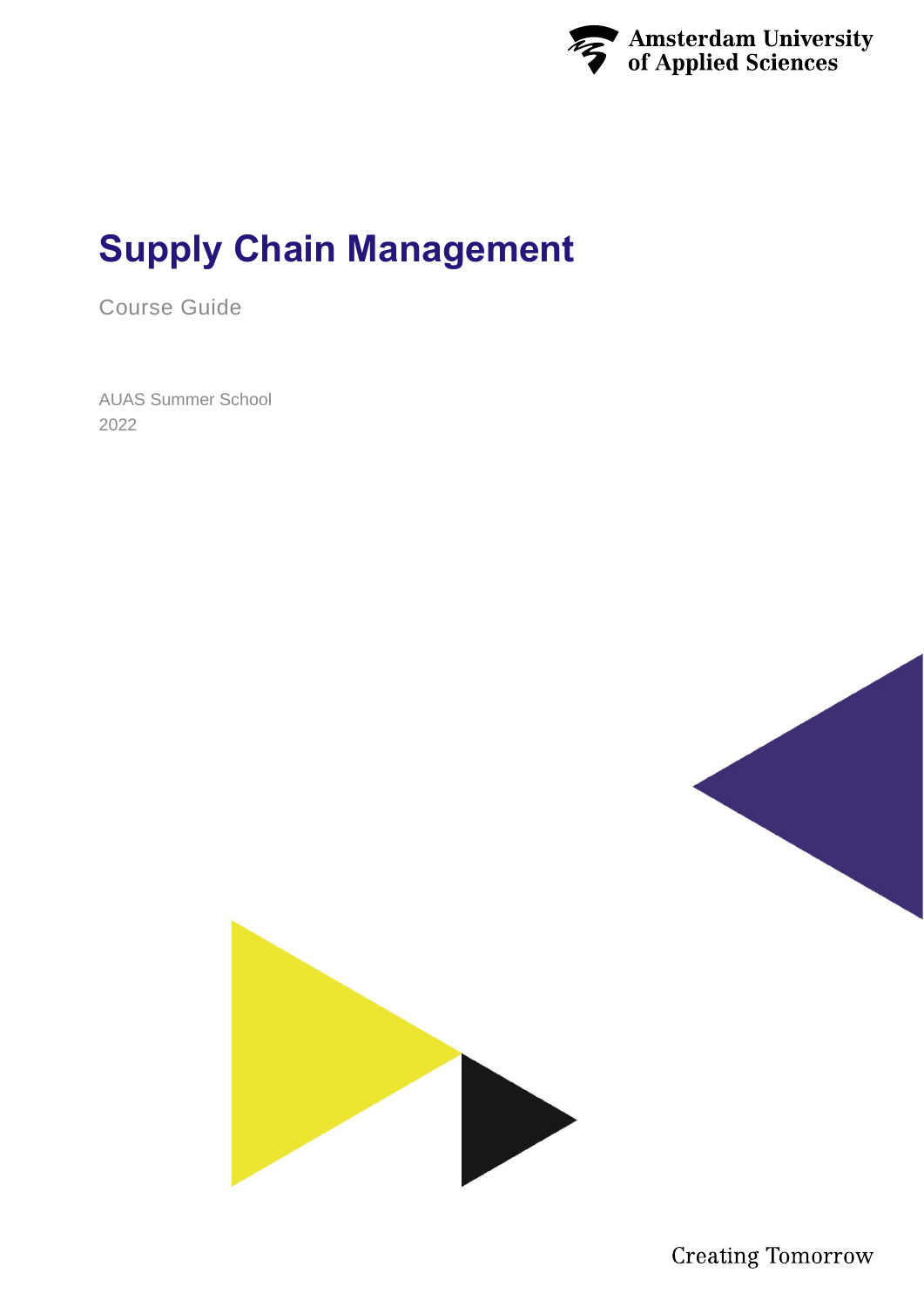

# **Supply Chain Management**

Course Guide

AUAS Summer School 2022



**Creating Tomorrow**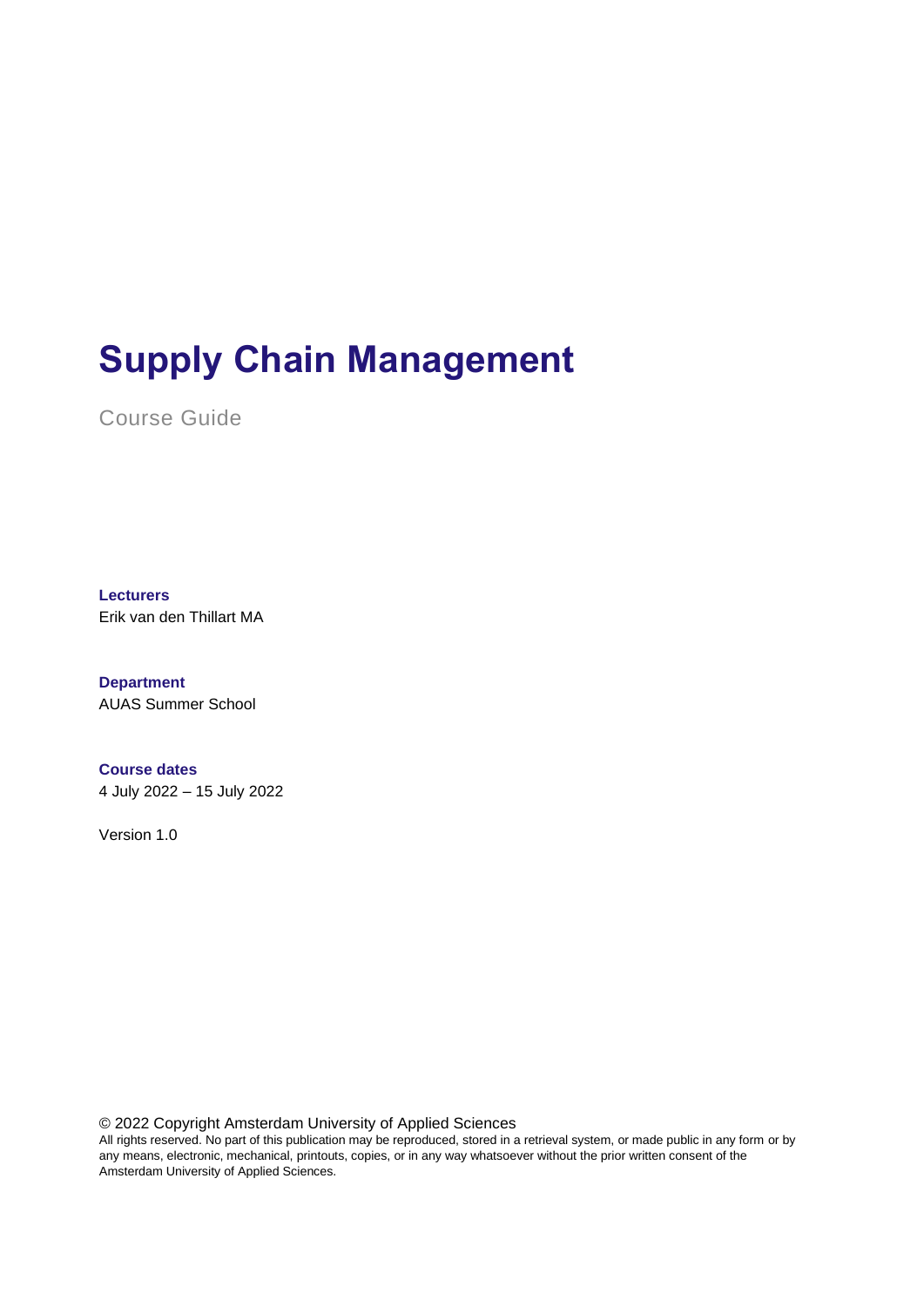# **Supply Chain Management**

Course Guide

**Lecturers**

Erik van den Thillart MA

**Department** AUAS Summer School

**Course dates** 4 July 2022 – 15 July 2022

Version 1.0

© 2022 Copyright Amsterdam University of Applied Sciences

All rights reserved. No part of this publication may be reproduced, stored in a retrieval system, or made public in any form or by any means, electronic, mechanical, printouts, copies, or in any way whatsoever without the prior written consent of the Amsterdam University of Applied Sciences.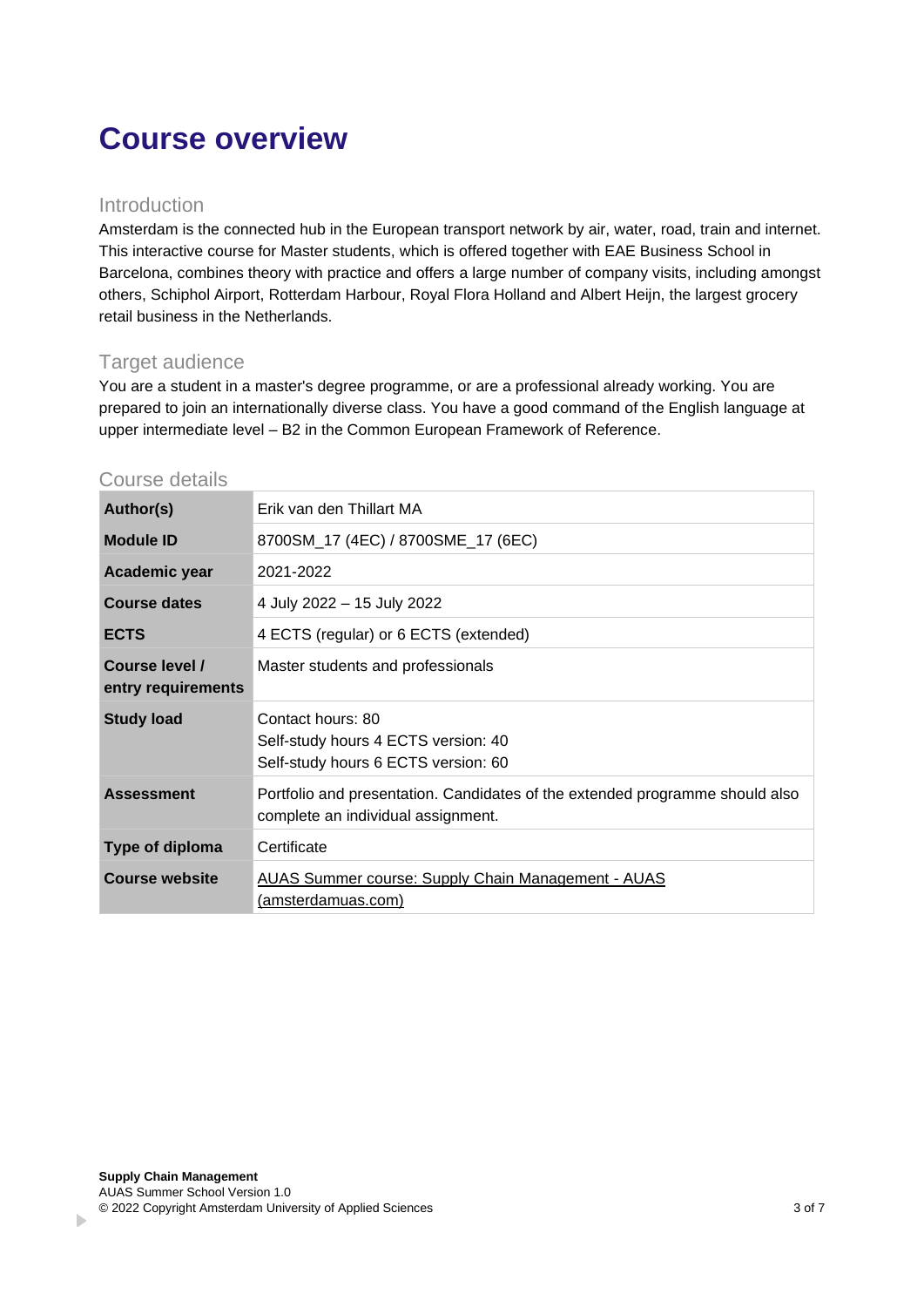# **Course overview**

#### Introduction

Amsterdam is the connected hub in the European transport network by air, water, road, train and internet. This interactive course for Master students, which is offered together with EAE Business School in Barcelona, combines theory with practice and offers a large number of company visits, including amongst others, Schiphol Airport, Rotterdam Harbour, Royal Flora Holland and Albert Heijn, the largest grocery retail business in the Netherlands.

#### Target audience

You are a student in a master's degree programme, or are a professional already working. You are prepared to join an internationally diverse class. You have a good command of the English language at upper intermediate level – B2 in the Common European Framework of Reference.

#### Course details

| Author(s)                            | Erik van den Thillart MA                                                                                           |  |
|--------------------------------------|--------------------------------------------------------------------------------------------------------------------|--|
| <b>Module ID</b>                     | 8700SM_17 (4EC) / 8700SME_17 (6EC)                                                                                 |  |
| Academic year                        | 2021-2022                                                                                                          |  |
| <b>Course dates</b>                  | 4 July 2022 – 15 July 2022                                                                                         |  |
| <b>ECTS</b>                          | 4 ECTS (regular) or 6 ECTS (extended)                                                                              |  |
| Course level /<br>entry requirements | Master students and professionals                                                                                  |  |
| <b>Study load</b>                    | Contact hours: 80<br>Self-study hours 4 ECTS version: 40<br>Self-study hours 6 ECTS version: 60                    |  |
| <b>Assessment</b>                    | Portfolio and presentation. Candidates of the extended programme should also<br>complete an individual assignment. |  |
| Type of diploma                      | Certificate                                                                                                        |  |
| <b>Course website</b>                | <b>AUAS Summer course: Supply Chain Management - AUAS</b><br>(amsterdamuas.com)                                    |  |

 $\mathbf{r}$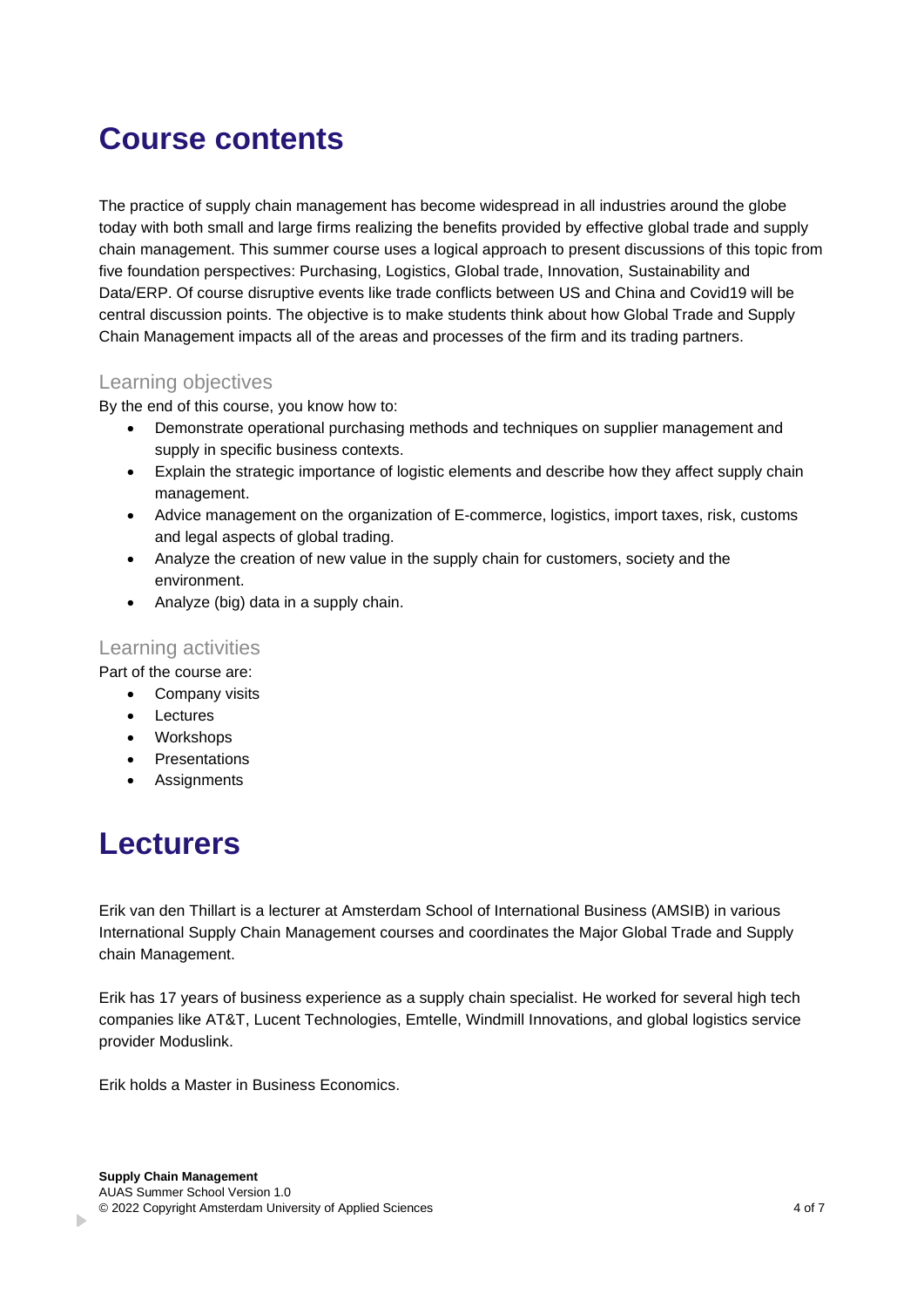### **Course contents**

The practice of supply chain management has become widespread in all industries around the globe today with both small and large firms realizing the benefits provided by effective global trade and supply chain management. This summer course uses a logical approach to present discussions of this topic from five foundation perspectives: Purchasing, Logistics, Global trade, Innovation, Sustainability and Data/ERP. Of course disruptive events like trade conflicts between US and China and Covid19 will be central discussion points. The objective is to make students think about how Global Trade and Supply Chain Management impacts all of the areas and processes of the firm and its trading partners.

#### Learning objectives

By the end of this course, you know how to:

- Demonstrate operational purchasing methods and techniques on supplier management and supply in specific business contexts.
- Explain the strategic importance of logistic elements and describe how they affect supply chain management.
- Advice management on the organization of E-commerce, logistics, import taxes, risk, customs and legal aspects of global trading.
- Analyze the creation of new value in the supply chain for customers, society and the environment.
- Analyze (big) data in a supply chain.

### Learning activities

Part of the course are:

- Company visits
- **Lectures**
- Workshops
- **Presentations**
- **Assignments**

# **Lecturers**

b.

Erik van den Thillart is a lecturer at Amsterdam School of International Business (AMSIB) in various International Supply Chain Management courses and coordinates the Major Global Trade and Supply chain Management.

Erik has 17 years of business experience as a supply chain specialist. He worked for several high tech companies like AT&T, Lucent Technologies, Emtelle, Windmill Innovations, and global logistics service provider Moduslink.

Erik holds a Master in Business Economics.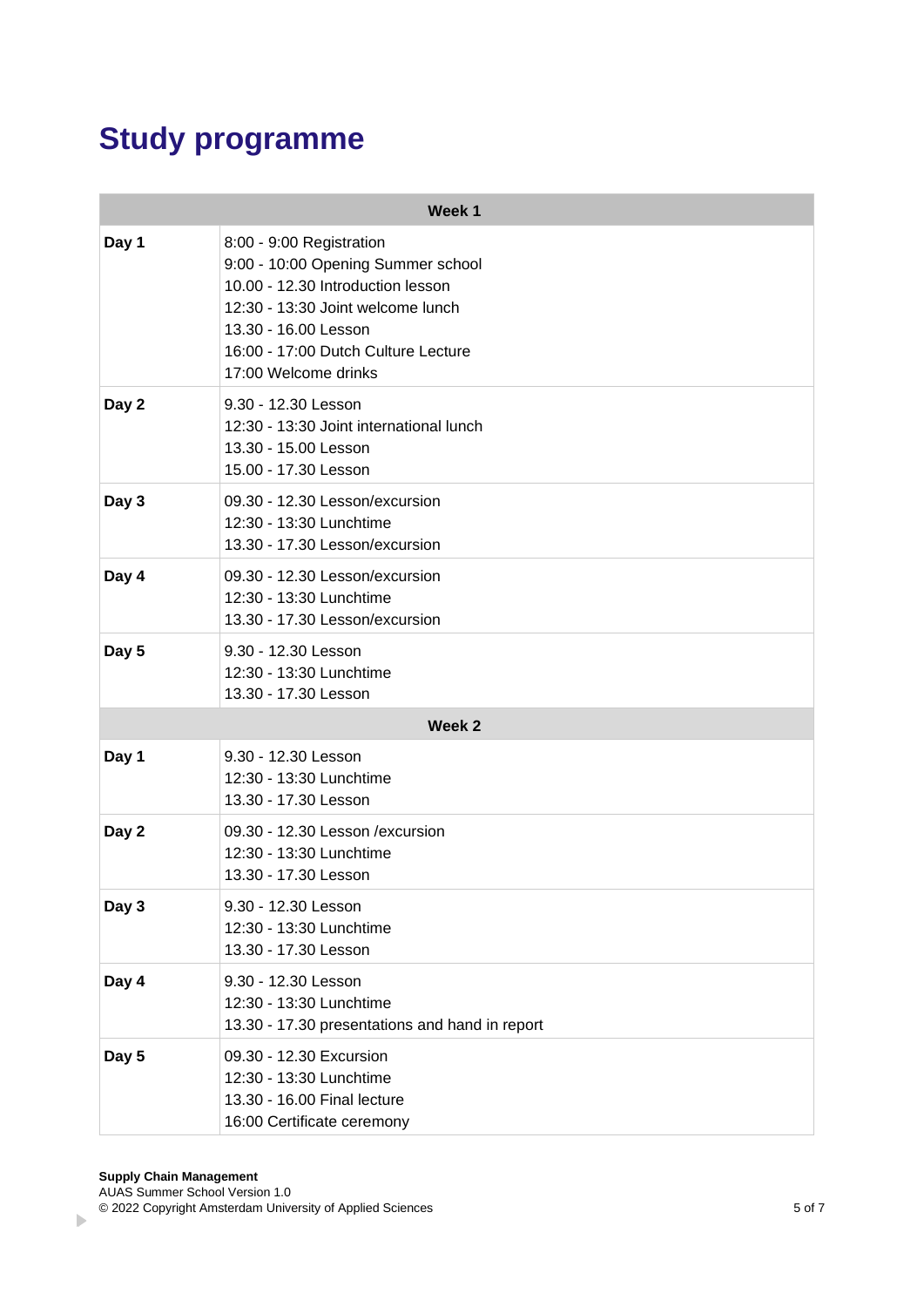# **Study programme**

| Week 1 |                                                                                                                                                                                                                                 |  |  |
|--------|---------------------------------------------------------------------------------------------------------------------------------------------------------------------------------------------------------------------------------|--|--|
| Day 1  | 8:00 - 9:00 Registration<br>9:00 - 10:00 Opening Summer school<br>10.00 - 12.30 Introduction lesson<br>12:30 - 13:30 Joint welcome lunch<br>13.30 - 16.00 Lesson<br>16:00 - 17:00 Dutch Culture Lecture<br>17:00 Welcome drinks |  |  |
| Day 2  | 9.30 - 12.30 Lesson<br>12:30 - 13:30 Joint international lunch<br>13.30 - 15.00 Lesson<br>15.00 - 17.30 Lesson                                                                                                                  |  |  |
| Day 3  | 09.30 - 12.30 Lesson/excursion<br>12:30 - 13:30 Lunchtime<br>13.30 - 17.30 Lesson/excursion                                                                                                                                     |  |  |
| Day 4  | 09.30 - 12.30 Lesson/excursion<br>12:30 - 13:30 Lunchtime<br>13.30 - 17.30 Lesson/excursion                                                                                                                                     |  |  |
| Day 5  | 9.30 - 12.30 Lesson<br>12:30 - 13:30 Lunchtime<br>13.30 - 17.30 Lesson                                                                                                                                                          |  |  |
| Week 2 |                                                                                                                                                                                                                                 |  |  |
| Day 1  | 9.30 - 12.30 Lesson<br>12:30 - 13:30 Lunchtime<br>13.30 - 17.30 Lesson                                                                                                                                                          |  |  |
| Day 2  | 09.30 - 12.30 Lesson / excursion<br>12:30 - 13:30 Lunchtime<br>13.30 - 17.30 Lesson                                                                                                                                             |  |  |
| Day 3  | 9.30 - 12.30 Lesson<br>12:30 - 13:30 Lunchtime<br>13.30 - 17.30 Lesson                                                                                                                                                          |  |  |
| Day 4  | 9.30 - 12.30 Lesson<br>12:30 - 13:30 Lunchtime<br>13.30 - 17.30 presentations and hand in report                                                                                                                                |  |  |
| Day 5  | 09.30 - 12.30 Excursion<br>12:30 - 13:30 Lunchtime<br>13.30 - 16.00 Final lecture<br>16:00 Certificate ceremony                                                                                                                 |  |  |

 $\overline{a}$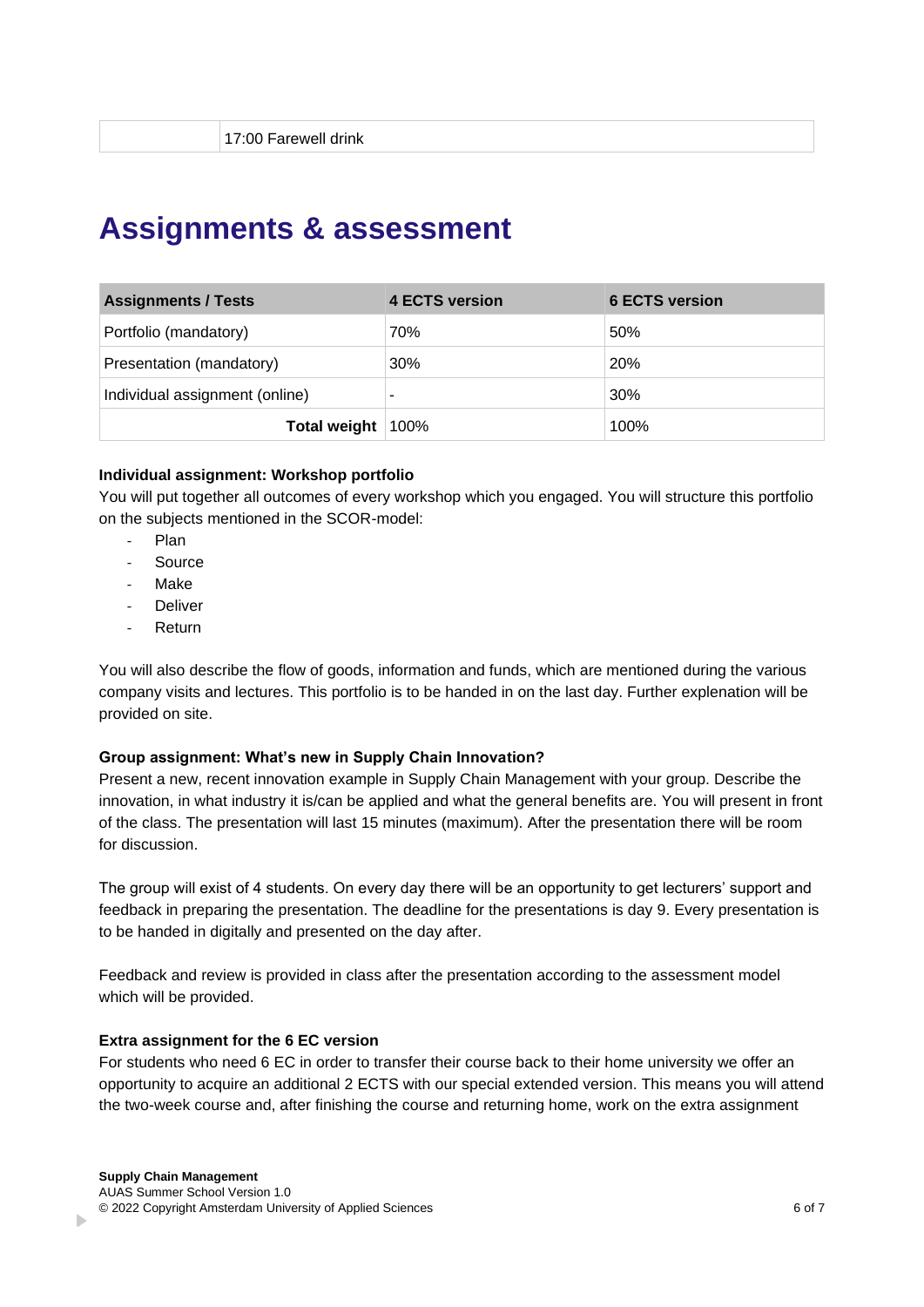### **Assignments & assessment**

| <b>Assignments / Tests</b>     | 4 ECTS version | 6 ECTS version |
|--------------------------------|----------------|----------------|
| Portfolio (mandatory)          | 70%            | 50%            |
| Presentation (mandatory)       | 30%            | 20%            |
| Individual assignment (online) |                | 30%            |
| Total weight   100%            |                | 100%           |

#### **Individual assignment: Workshop portfolio**

You will put together all outcomes of every workshop which you engaged. You will structure this portfolio on the subjects mentioned in the SCOR-model:

- Plan
- **Source**
- **Make**
- **Deliver**
- **Return**

You will also describe the flow of goods, information and funds, which are mentioned during the various company visits and lectures. This portfolio is to be handed in on the last day. Further explenation will be provided on site.

#### **Group assignment: What's new in Supply Chain Innovation?**

Present a new, recent innovation example in Supply Chain Management with your group. Describe the innovation, in what industry it is/can be applied and what the general benefits are. You will present in front of the class. The presentation will last 15 minutes (maximum). After the presentation there will be room for discussion.

The group will exist of 4 students. On every day there will be an opportunity to get lecturers' support and feedback in preparing the presentation. The deadline for the presentations is day 9. Every presentation is to be handed in digitally and presented on the day after.

Feedback and review is provided in class after the presentation according to the assessment model which will be provided.

#### **Extra assignment for the 6 EC version**

For students who need 6 EC in order to transfer their course back to their home university we offer an opportunity to acquire an additional 2 ECTS with our special extended version. This means you will attend the two-week course and, after finishing the course and returning home, work on the extra assignment

b.